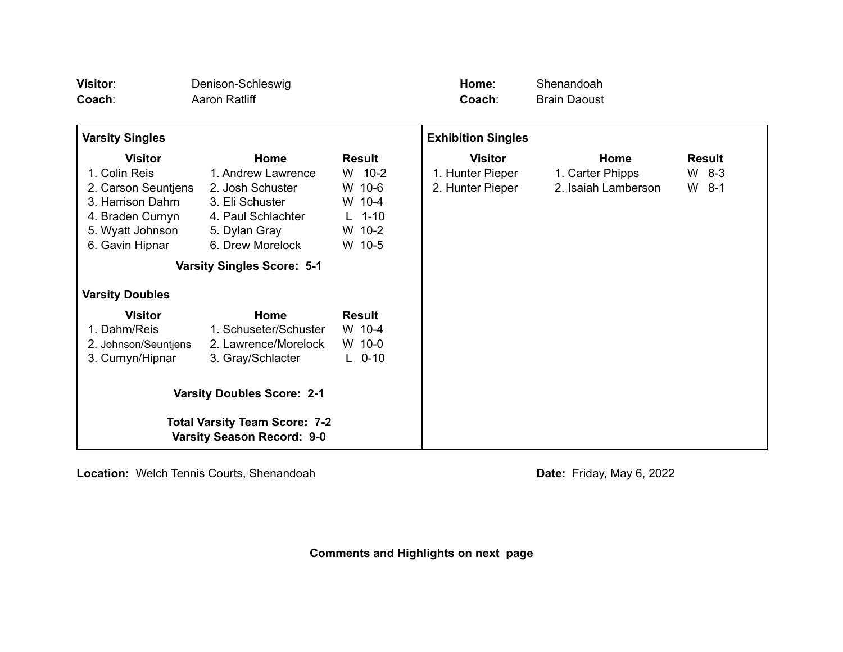| Visitor:<br>Coach:                                                                             | Denison-Schleswig<br>Aaron Ratliff                                                      |                                                         | Home:<br>Coach:                                        | Shenandoah<br><b>Brain Daoust</b>               |                                     |
|------------------------------------------------------------------------------------------------|-----------------------------------------------------------------------------------------|---------------------------------------------------------|--------------------------------------------------------|-------------------------------------------------|-------------------------------------|
| <b>Varsity Singles</b>                                                                         |                                                                                         |                                                         | <b>Exhibition Singles</b>                              |                                                 |                                     |
| <b>Visitor</b><br>1. Colin Reis<br>2. Carson Seuntjens<br>3. Harrison Dahm<br>4. Braden Curnyn | Home<br>1. Andrew Lawrence<br>2. Josh Schuster<br>3. Eli Schuster<br>4. Paul Schlachter | <b>Result</b><br>W 10-2<br>W 10-6<br>W 10-4<br>$L$ 1-10 | <b>Visitor</b><br>1. Hunter Pieper<br>2. Hunter Pieper | Home<br>1. Carter Phipps<br>2. Isaiah Lamberson | <b>Result</b><br>$W$ 8-3<br>$W$ 8-1 |
| 5. Wyatt Johnson<br>6. Gavin Hipnar                                                            | 5. Dylan Gray<br>6. Drew Morelock                                                       | W 10-2<br>W 10-5                                        |                                                        |                                                 |                                     |
| <b>Varsity Doubles</b>                                                                         | <b>Varsity Singles Score: 5-1</b>                                                       |                                                         |                                                        |                                                 |                                     |
| <b>Visitor</b><br>1. Dahm/Reis<br>2. Johnson/Seuntjens<br>3. Curnyn/Hipnar                     | Home<br>1. Schuseter/Schuster<br>2. Lawrence/Morelock<br>3. Gray/Schlacter              | <b>Result</b><br>W 10-4<br>W 10-0<br>$L$ 0-10           |                                                        |                                                 |                                     |
| <b>Varsity Doubles Score: 2-1</b>                                                              |                                                                                         |                                                         |                                                        |                                                 |                                     |
| <b>Total Varsity Team Score: 7-2</b><br><b>Varsity Season Record: 9-0</b>                      |                                                                                         |                                                         |                                                        |                                                 |                                     |

**Location:** Welch Tennis Courts, Shenandoah **Date:** Friday, May 6, 2022

**Comments and Highlights on next page**